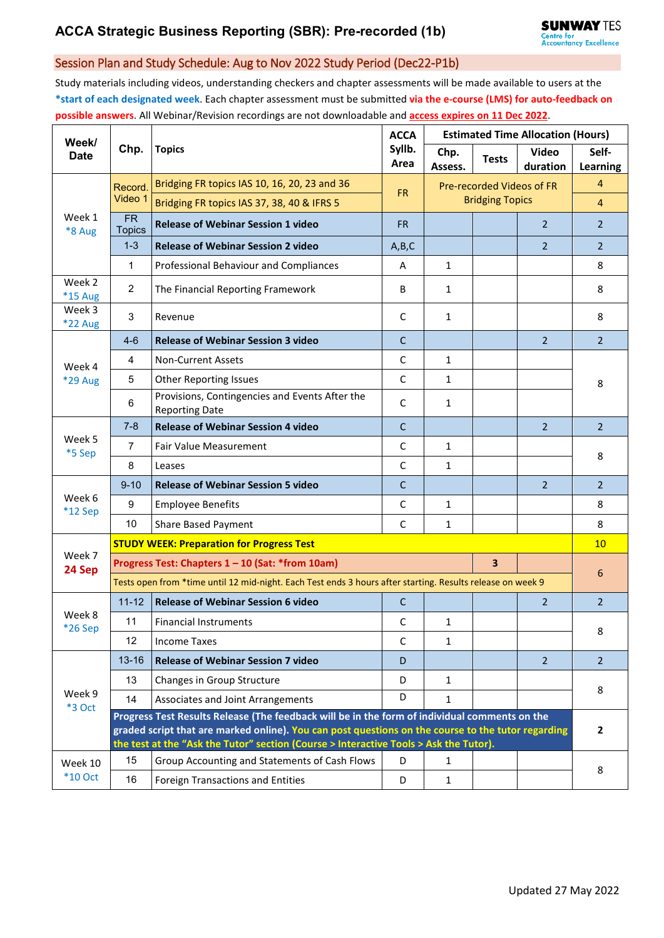## Session Plan and Study Schedule: Aug to Nov 2022 Study Period (Dec22-P1b)

Study materials including videos, understanding checkers and chapter assessments will be made available to users at the **\*start of each designated week**. Each chapter assessment must be submitted **via the e-course (LMS) for auto-feedback on possible answers**. All Webinar/Revision recordings are not downloadable and **access expires on 11 Dec 2022**.

| Week/<br><b>Date</b>      | Chp.                                                                                                                                                                                                                                                                                         | <b>Topics</b>                                                           | <b>ACCA</b>    | <b>Estimated Time Allocation (Hours)</b>            |              |                          |                   |  |  |
|---------------------------|----------------------------------------------------------------------------------------------------------------------------------------------------------------------------------------------------------------------------------------------------------------------------------------------|-------------------------------------------------------------------------|----------------|-----------------------------------------------------|--------------|--------------------------|-------------------|--|--|
|                           |                                                                                                                                                                                                                                                                                              |                                                                         | Syllb.<br>Area | Chp.<br>Assess.                                     | <b>Tests</b> | <b>Video</b><br>duration | Self-<br>Learning |  |  |
| Week 1<br>*8 Aug          | Record.<br>Video 1                                                                                                                                                                                                                                                                           | Bridging FR topics IAS 10, 16, 20, 23 and 36                            |                | Pre-recorded Videos of FR<br><b>Bridging Topics</b> |              |                          | $\overline{4}$    |  |  |
|                           |                                                                                                                                                                                                                                                                                              | Bridging FR topics IAS 37, 38, 40 & IFRS 5                              | <b>FR</b>      |                                                     |              |                          | $\overline{4}$    |  |  |
|                           | $\overline{FR}$<br><b>Topics</b>                                                                                                                                                                                                                                                             | <b>Release of Webinar Session 1 video</b>                               | <b>FR</b>      |                                                     |              | $\overline{2}$           | $\overline{2}$    |  |  |
|                           | $1 - 3$                                                                                                                                                                                                                                                                                      | <b>Release of Webinar Session 2 video</b>                               | A,B,C          |                                                     |              | 2                        | $\overline{2}$    |  |  |
|                           | $\mathbf{1}$                                                                                                                                                                                                                                                                                 | Professional Behaviour and Compliances                                  | A              | $\mathbf{1}$                                        |              |                          | 8                 |  |  |
| Week 2<br>*15 Aug         | $\overline{2}$                                                                                                                                                                                                                                                                               | The Financial Reporting Framework                                       | B              | $\mathbf{1}$                                        |              |                          | 8                 |  |  |
| Week 3<br><b>*22 Aug</b>  | $\mathbf{3}$                                                                                                                                                                                                                                                                                 | Revenue                                                                 | C              | $\mathbf{1}$                                        |              |                          | 8                 |  |  |
|                           | $4-6$                                                                                                                                                                                                                                                                                        | <b>Release of Webinar Session 3 video</b>                               | $\mathsf{C}$   |                                                     |              | 2                        | $\overline{2}$    |  |  |
| Week 4                    | $\overline{4}$                                                                                                                                                                                                                                                                               | <b>Non-Current Assets</b>                                               | C              | $\mathbf{1}$                                        |              |                          | 8                 |  |  |
| *29 Aug                   | 5                                                                                                                                                                                                                                                                                            | <b>Other Reporting Issues</b>                                           | $\mathsf{C}$   | $\mathbf{1}$                                        |              |                          |                   |  |  |
|                           | $\,6\,$                                                                                                                                                                                                                                                                                      | Provisions, Contingencies and Events After the<br><b>Reporting Date</b> | $\mathsf C$    | $\mathbf{1}$                                        |              |                          |                   |  |  |
| Week 5<br>*5 Sep          | $7 - 8$                                                                                                                                                                                                                                                                                      | <b>Release of Webinar Session 4 video</b>                               | $\mathsf{C}$   |                                                     |              | 2                        | $\overline{2}$    |  |  |
|                           | $\overline{7}$                                                                                                                                                                                                                                                                               | Fair Value Measurement                                                  | C              | $\mathbf{1}$                                        |              |                          | 8                 |  |  |
|                           | 8                                                                                                                                                                                                                                                                                            | Leases                                                                  | C              | $\mathbf{1}$                                        |              |                          |                   |  |  |
|                           | $9 - 10$                                                                                                                                                                                                                                                                                     | <b>Release of Webinar Session 5 video</b>                               | $\mathsf{C}$   |                                                     |              | $\overline{2}$           | 2 <sup>2</sup>    |  |  |
| Week 6<br>*12 Sep         | 9                                                                                                                                                                                                                                                                                            | <b>Employee Benefits</b>                                                | C              | $\mathbf{1}$                                        |              |                          | 8                 |  |  |
|                           | 10                                                                                                                                                                                                                                                                                           | Share Based Payment                                                     | C              | $\mathbf{1}$                                        |              |                          | 8                 |  |  |
| Week 7<br>24 Sep          | <b>STUDY WEEK: Preparation for Progress Test</b>                                                                                                                                                                                                                                             |                                                                         |                |                                                     |              |                          |                   |  |  |
|                           | 3<br>Progress Test: Chapters 1 - 10 (Sat: *from 10am)                                                                                                                                                                                                                                        |                                                                         |                |                                                     |              |                          |                   |  |  |
|                           | Tests open from *time until 12 mid-night. Each Test ends 3 hours after starting. Results release on week 9                                                                                                                                                                                   |                                                                         |                |                                                     |              |                          |                   |  |  |
| Week 8<br>*26 Sep         | $11 - 12$                                                                                                                                                                                                                                                                                    | <b>Release of Webinar Session 6 video</b>                               | $\mathsf{C}$   |                                                     |              | 2                        | $\overline{2}$    |  |  |
|                           | 11                                                                                                                                                                                                                                                                                           | <b>Financial Instruments</b>                                            | C              | 1                                                   |              |                          | 8                 |  |  |
|                           | 12                                                                                                                                                                                                                                                                                           | <b>Income Taxes</b>                                                     | C              | $\mathbf{1}$                                        |              |                          |                   |  |  |
| Week 9<br>*3 Oct          | $13 - 16$                                                                                                                                                                                                                                                                                    | <b>Release of Webinar Session 7 video</b>                               | D              |                                                     |              | 2                        | $\overline{2}$    |  |  |
|                           | 13                                                                                                                                                                                                                                                                                           | Changes in Group Structure                                              | D              | $\mathbf{1}$                                        |              |                          |                   |  |  |
|                           | 14                                                                                                                                                                                                                                                                                           | Associates and Joint Arrangements                                       | D              | 1                                                   |              |                          | 8                 |  |  |
|                           | Progress Test Results Release (The feedback will be in the form of individual comments on the<br>graded script that are marked online). You can post questions on the course to the tutor regarding<br>the test at the "Ask the Tutor" section (Course > Interactive Tools > Ask the Tutor). |                                                                         |                |                                                     |              |                          |                   |  |  |
| Week 10<br><b>*10 Oct</b> | 15                                                                                                                                                                                                                                                                                           | Group Accounting and Statements of Cash Flows                           | D              | 1                                                   |              |                          | 8                 |  |  |
|                           | 16                                                                                                                                                                                                                                                                                           | Foreign Transactions and Entities                                       | D              | $\mathbf{1}$                                        |              |                          |                   |  |  |